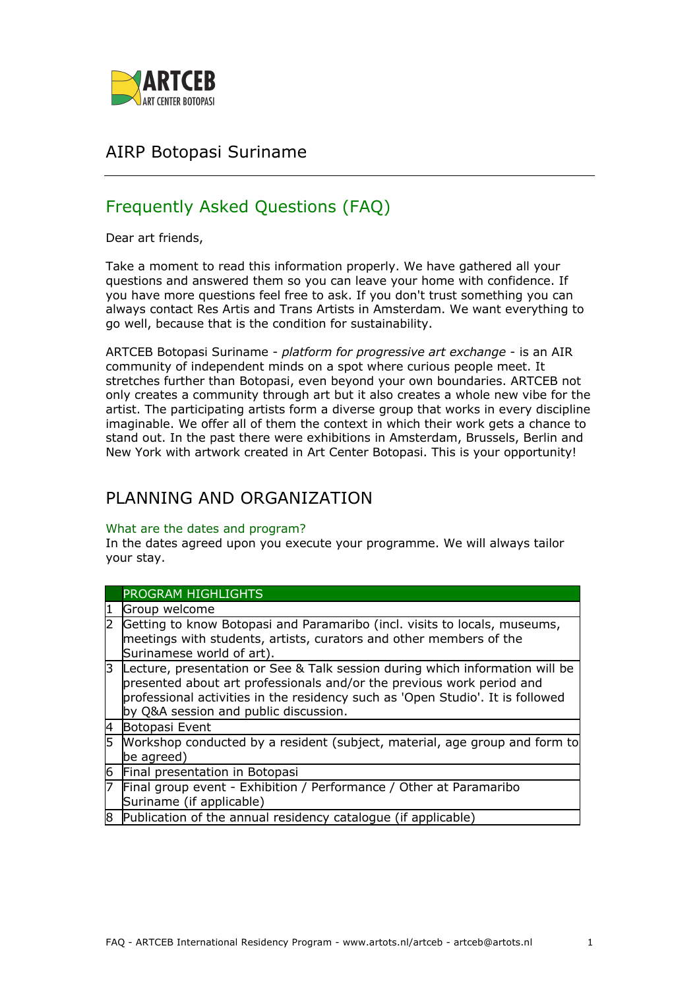

## AIRP Botopasi Suriname

# Frequently Asked Questions (FAQ)

Dear art friends,

Take a moment to read this information properly. We have gathered all your questions and answered them so you can leave your home with confidence. If you have more questions feel free to ask. If you don't trust something you can always contact Res Artis and Trans Artists in Amsterdam. We want everything to go well, because that is the condition for sustainability.

ARTCEB Botopasi Suriname - *platform for progressive art exchange* - is an AIR community of independent minds on a spot where curious people meet. It stretches further than Botopasi, even beyond your own boundaries. ARTCEB not only creates a community through art but it also creates a whole new vibe for the artist. The participating artists form a diverse group that works in every discipline imaginable. We offer all of them the context in which their work gets a chance to stand out. In the past there were exhibitions in Amsterdam, Brussels, Berlin and New York with artwork created in Art Center Botopasi. This is your opportunity!

## PI ANNING AND ORGANIZATION

### What are the dates and program?

In the dates agreed upon you execute your programme. We will always tailor your stay.

|   | PROGRAM HIGHLIGHTS                                                                                                                                                                                                                                                               |
|---|----------------------------------------------------------------------------------------------------------------------------------------------------------------------------------------------------------------------------------------------------------------------------------|
| 1 | Group welcome                                                                                                                                                                                                                                                                    |
|   | Getting to know Botopasi and Paramaribo (incl. visits to locals, museums,<br>meetings with students, artists, curators and other members of the<br>Surinamese world of art).                                                                                                     |
| 3 | Lecture, presentation or See & Talk session during which information will be<br>presented about art professionals and/or the previous work period and<br>professional activities in the residency such as 'Open Studio'. It is followed<br>by Q&A session and public discussion. |
| 4 | Botopasi Event                                                                                                                                                                                                                                                                   |
| 5 | Workshop conducted by a resident (subject, material, age group and form to<br>be agreed)                                                                                                                                                                                         |
| 6 | Final presentation in Botopasi                                                                                                                                                                                                                                                   |
| 7 | Final group event - Exhibition / Performance / Other at Paramaribo<br>Suriname (if applicable)                                                                                                                                                                                   |
| 8 | Publication of the annual residency catalogue (if applicable)                                                                                                                                                                                                                    |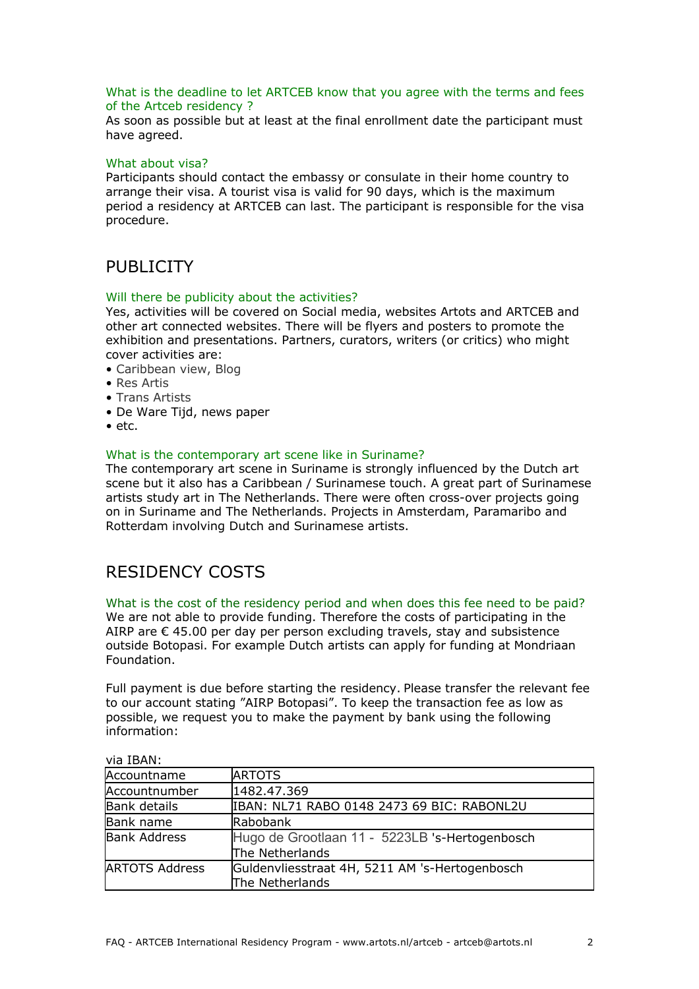### What is the deadline to let ARTCEB know that you agree with the terms and fees of the Artceb residency ?

As soon as possible but at least at the final enrollment date the participant must have agreed.

### What about visa?

Participants should contact the embassy or consulate in their home country to arrange their visa. A tourist visa is valid for 90 days, which is the maximum period a residency at ARTCEB can last. The participant is responsible for the visa procedure.

## PUBLICITY

#### Will there be publicity about the activities?

Yes, activities will be covered on Social media, websites Artots and ARTCEB and other art connected websites. There will be flyers and posters to promote the exhibition and presentations. Partners, curators, writers (or critics) who might cover activities are:

- Caribbean view, Blog
- Res Artis
- Trans Artists
- De Ware Tiid, news paper
- etc.

#### What is the contemporary art scene like in Suriname?

The contemporary art scene in Suriname is strongly influenced by the Dutch art scene but it also has a Caribbean / Surinamese touch. A great part of Surinamese artists study art in The Netherlands. There were often cross-over projects going on in Suriname and The Netherlands. Projects in Amsterdam, Paramaribo and Rotterdam involving Dutch and Surinamese artists.

## RESIDENCY COSTS

What is the cost of the residency period and when does this fee need to be paid? We are not able to provide funding. Therefore the costs of participating in the AIRP are  $\epsilon$  45.00 per day per person excluding travels, stay and subsistence outside Botopasi. For example Dutch artists can apply for funding at Mondriaan Foundation.

Full payment is due before starting the residency. Please transfer the relevant fee to our account stating "AIRP Botopasi". To keep the transaction fee as low as possible, we request you to make the payment by bank using the following information:

| VIA IBANI             |                                                                   |  |
|-----------------------|-------------------------------------------------------------------|--|
| Accountname           | <b>ARTOTS</b>                                                     |  |
| Accountnumber         | 1482.47.369                                                       |  |
| <b>Bank details</b>   | IBAN: NL71 RABO 0148 2473 69 BIC: RABONL2U                        |  |
| Bank name             | Rabobank                                                          |  |
| <b>Bank Address</b>   | Hugo de Grootlaan 11 - 5223LB 's-Hertogenbosch<br>The Netherlands |  |
| <b>ARTOTS Address</b> | Guldenvliesstraat 4H, 5211 AM 's-Hertogenbosch<br>The Netherlands |  |

via IBAN: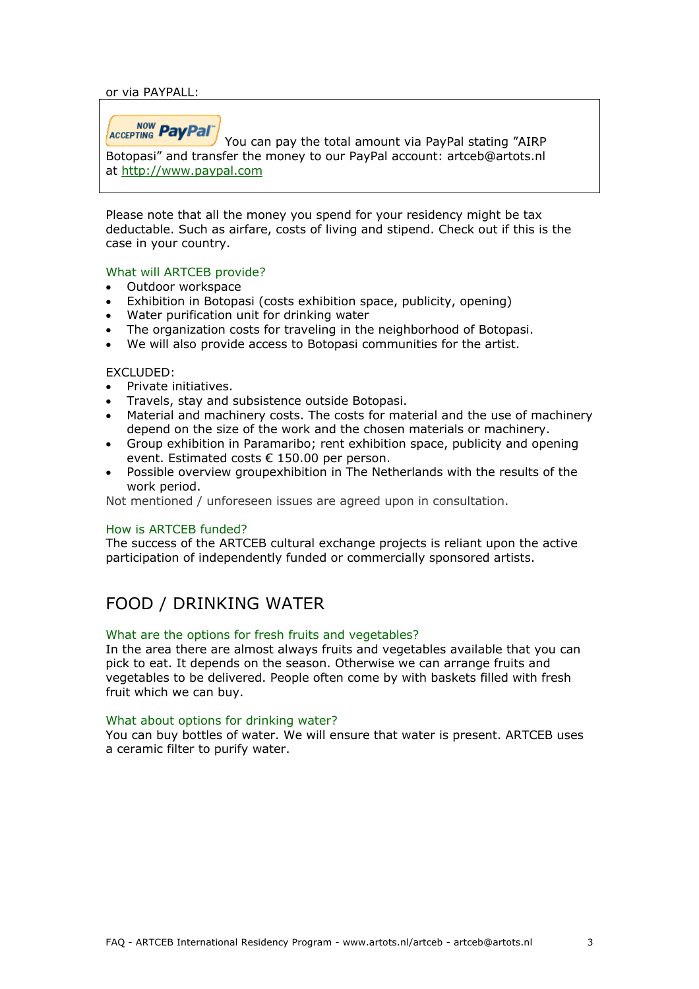or via PAYPALL:

ACCEPTING PayPal

You can pay the total amount via PayPal stating "AIRP Botopasi" and transfer the money to our PayPal account: artceb@artots.nl at http://www.paypal.com

Please note that all the money you spend for your residency might be tax deductable. Such as airfare, costs of living and stipend. Check out if this is the case in your country.

### What will ARTCEB provide?

- Outdoor workspace
- Exhibition in Botopasi (costs exhibition space, publicity, opening)
- Water purification unit for drinking water
- The organization costs for traveling in the neighborhood of Botopasi.
- We will also provide access to Botopasi communities for the artist.

### EXCLUDED:

- Private initiatives.
- Travels, stay and subsistence outside Botopasi.
- Material and machinery costs. The costs for material and the use of machinery depend on the size of the work and the chosen materials or machinery.
- Group exhibition in Paramaribo; rent exhibition space, publicity and opening event. Estimated costs € 150.00 per person.
- Possible overview groupexhibition in The Netherlands with the results of the work period.

Not mentioned / unforeseen issues are agreed upon in consultation.

### How is ARTCEB funded?

The success of the ARTCEB cultural exchange projects is reliant upon the active participation of independently funded or commercially sponsored artists.

## FOOD / DRINKING WATER

#### What are the options for fresh fruits and vegetables?

In the area there are almost always fruits and vegetables available that you can pick to eat. It depends on the season. Otherwise we can arrange fruits and vegetables to be delivered. People often come by with baskets filled with fresh fruit which we can buy.

#### What about options for drinking water?

You can buy bottles of water. We will ensure that water is present. ARTCEB uses a ceramic filter to purify water.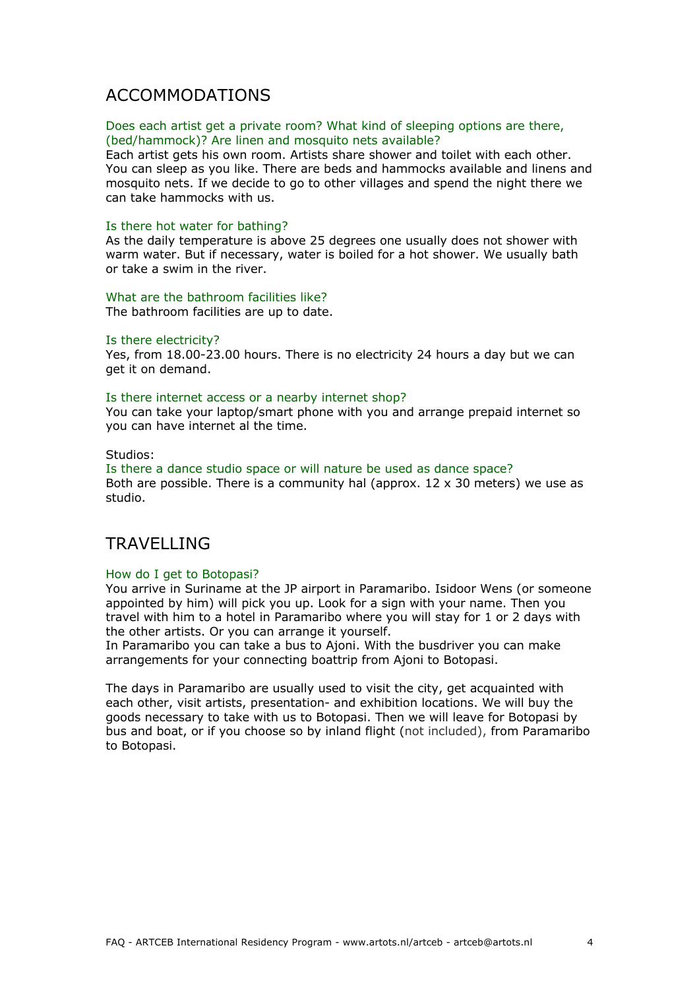## ACCOMMODATIONS

#### Does each artist get a private room? What kind of sleeping options are there, (bed/hammock)? Are linen and mosquito nets available?

Each artist gets his own room. Artists share shower and toilet with each other. You can sleep as you like. There are beds and hammocks available and linens and mosquito nets. If we decide to go to other villages and spend the night there we can take hammocks with us.

#### Is there hot water for bathing?

As the daily temperature is above 25 degrees one usually does not shower with warm water. But if necessary, water is boiled for a hot shower. We usually bath or take a swim in the river.

#### What are the bathroom facilities like?

The bathroom facilities are up to date.

#### Is there electricity?

Yes, from 18.00-23.00 hours. There is no electricity 24 hours a day but we can get it on demand.

#### Is there internet access or a nearby internet shop?

You can take your laptop/smart phone with you and arrange prepaid internet so you can have internet al the time.

#### Studios:

Is there a dance studio space or will nature be used as dance space? Both are possible. There is a community hal (approx.  $12 \times 30$  meters) we use as studio.

## TRAVELLING

### How do I get to Botopasi?

You arrive in Suriname at the JP airport in Paramaribo. Isidoor Wens (or someone appointed by him) will pick you up. Look for a sign with your name. Then you travel with him to a hotel in Paramaribo where you will stay for 1 or 2 days with the other artists. Or you can arrange it yourself.

In Paramaribo you can take a bus to Ajoni. With the busdriver you can make arrangements for your connecting boattrip from Ajoni to Botopasi.

The days in Paramaribo are usually used to visit the city, get acquainted with each other, visit artists, presentation- and exhibition locations. We will buy the goods necessary to take with us to Botopasi. Then we will leave for Botopasi by bus and boat, or if you choose so by inland flight (not included), from Paramaribo to Botopasi.